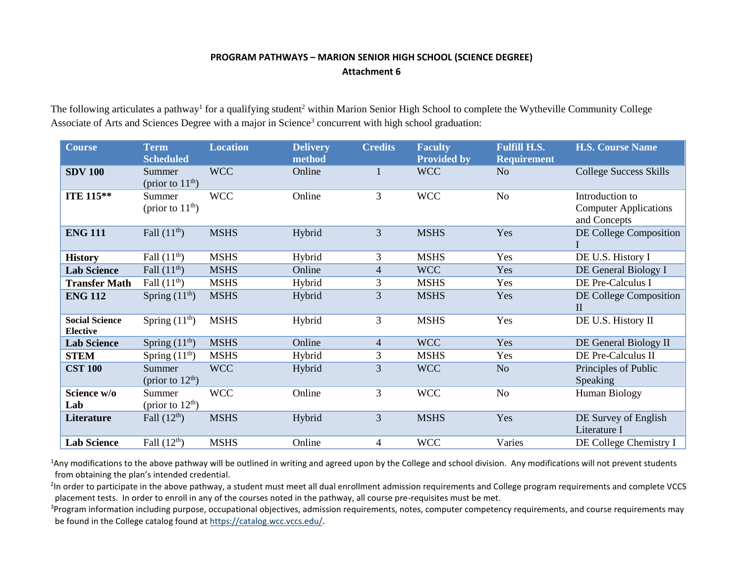## **PROGRAM PATHWAYS – MARION SENIOR HIGH SCHOOL (SCIENCE DEGREE) Attachment 6**

The following articulates a pathway<sup>1</sup> for a qualifying student<sup>2</sup> within Marion Senior High School to complete the Wytheville Community College Associate of Arts and Sciences Degree with a major in Science<sup>3</sup> concurrent with high school graduation:

| <b>Course</b>                            | <b>Term</b><br><b>Scheduled</b> | <b>Location</b> | <b>Delivery</b><br>method | <b>Credits</b>           | <b>Faculty</b><br><b>Provided by</b> | <b>Fulfill H.S.</b><br><b>Requirement</b> | <b>H.S. Course Name</b>                                         |
|------------------------------------------|---------------------------------|-----------------|---------------------------|--------------------------|--------------------------------------|-------------------------------------------|-----------------------------------------------------------------|
| <b>SDV 100</b>                           | Summer<br>(prior to $11th$ )    | <b>WCC</b>      | Online                    |                          | <b>WCC</b>                           | N <sub>o</sub>                            | College Success Skills                                          |
| ITE 115**                                | Summer<br>(prior to $11th$ )    | <b>WCC</b>      | Online                    | 3                        | <b>WCC</b>                           | N <sub>o</sub>                            | Introduction to<br><b>Computer Applications</b><br>and Concepts |
| <b>ENG 111</b>                           | Fall $(11^{\text{th}})$         | <b>MSHS</b>     | Hybrid                    | 3                        | <b>MSHS</b>                          | Yes                                       | DE College Composition                                          |
| <b>History</b>                           | Fall $(11th)$                   | <b>MSHS</b>     | Hybrid                    | 3                        | <b>MSHS</b>                          | Yes                                       | DE U.S. History I                                               |
| <b>Lab Science</b>                       | Fall $(11th)$                   | <b>MSHS</b>     | Online                    | $\overline{\mathcal{L}}$ | <b>WCC</b>                           | Yes                                       | DE General Biology I                                            |
| <b>Transfer Math</b>                     | Fall $(11th)$                   | <b>MSHS</b>     | Hybrid                    | 3                        | <b>MSHS</b>                          | Yes                                       | DE Pre-Calculus I                                               |
| <b>ENG 112</b>                           | Spring $(11th)$                 | <b>MSHS</b>     | Hybrid                    | $\mathfrak{Z}$           | <b>MSHS</b>                          | Yes                                       | DE College Composition<br>$\mathbf{I}$                          |
| <b>Social Science</b><br><b>Elective</b> | Spring $(11th)$                 | <b>MSHS</b>     | Hybrid                    | 3                        | <b>MSHS</b>                          | Yes                                       | DE U.S. History II                                              |
| <b>Lab Science</b>                       | Spring $(11th)$                 | <b>MSHS</b>     | Online                    | $\overline{4}$           | <b>WCC</b>                           | Yes                                       | DE General Biology II                                           |
| <b>STEM</b>                              | Spring $(11th)$                 | <b>MSHS</b>     | Hybrid                    | 3                        | <b>MSHS</b>                          | Yes                                       | DE Pre-Calculus II                                              |
| <b>CST 100</b>                           | Summer<br>(prior to $12th$ )    | <b>WCC</b>      | Hybrid                    | 3                        | <b>WCC</b>                           | N <sub>o</sub>                            | Principles of Public<br>Speaking                                |
| Science w/o<br>Lab                       | Summer<br>(prior to $12th$ )    | <b>WCC</b>      | Online                    | 3                        | <b>WCC</b>                           | N <sub>o</sub>                            | <b>Human Biology</b>                                            |
| <b>Literature</b>                        | Fall $(12th)$                   | <b>MSHS</b>     | Hybrid                    | 3                        | <b>MSHS</b>                          | Yes                                       | DE Survey of English<br>Literature I                            |
| <b>Lab Science</b>                       | Fall $(12th)$                   | <b>MSHS</b>     | Online                    | 4                        | <b>WCC</b>                           | Varies                                    | DE College Chemistry I                                          |

<sup>1</sup>Any modifications to the above pathway will be outlined in writing and agreed upon by the College and school division. Any modifications will not prevent students from obtaining the plan's intended credential.

<sup>2</sup>In order to participate in the above pathway, a student must meet all dual enrollment admission requirements and College program requirements and complete VCCS placement tests. In order to enroll in any of the courses noted in the pathway, all course pre-requisites must be met.

<sup>3</sup>Program information including purpose, occupational objectives, admission requirements, notes, computer competency requirements, and course requirements may be found in the College catalog found a[t https://catalog.wcc.vccs.edu/](https://catalog.wcc.vccs.edu/).